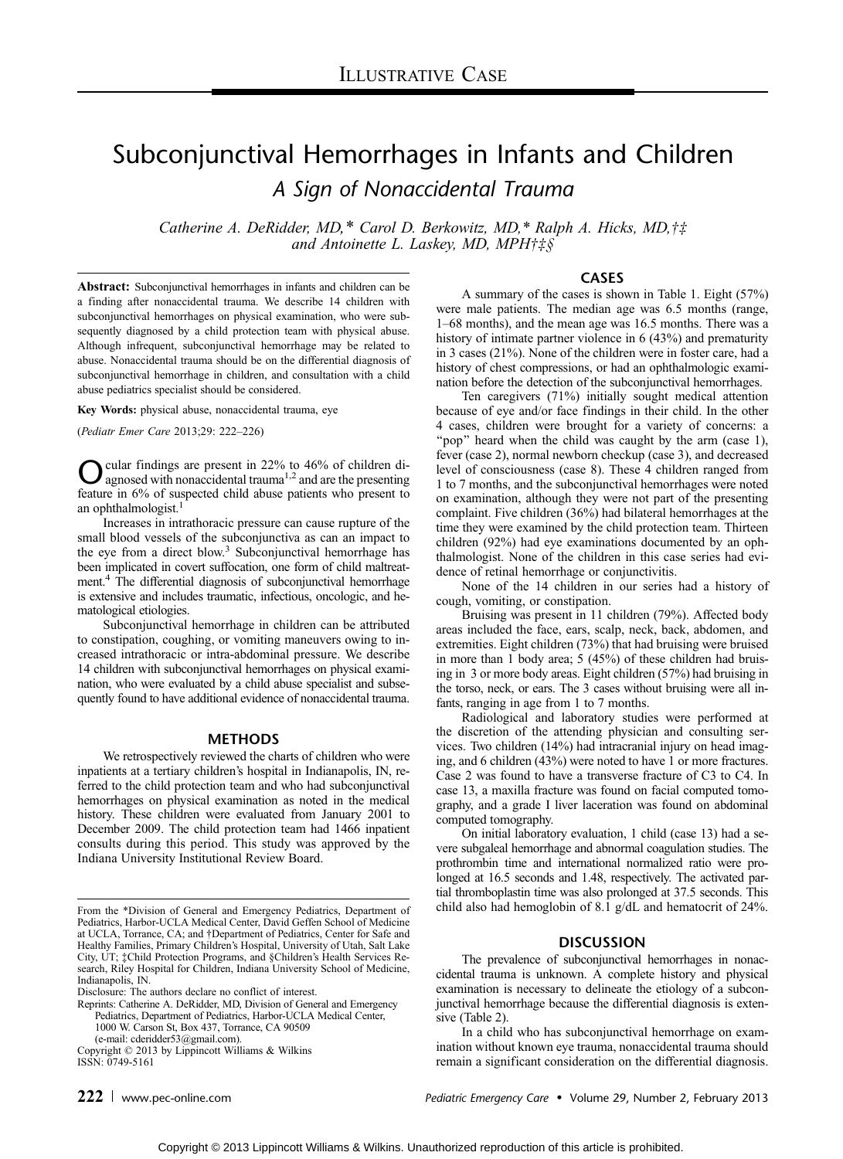# Subconjunctival Hemorrhages in Infants and Children

A Sign of Nonaccidental Trauma

Catherine A. DeRidder, MD,\* Carol D. Berkowitz, MD,\* Ralph A. Hicks, MD, $\dagger\ddagger$ and Antoinette L. Laskey, MD, MPH $\ddagger \ddagger \xi$ §

Abstract: Subconjunctival hemorrhages in infants and children can be a finding after nonaccidental trauma. We describe 14 children with subconjunctival hemorrhages on physical examination, who were subsequently diagnosed by a child protection team with physical abuse. Although infrequent, subconjunctival hemorrhage may be related to abuse. Nonaccidental trauma should be on the differential diagnosis of subconjunctival hemorrhage in children, and consultation with a child abuse pediatrics specialist should be considered.

Key Words: physical abuse, nonaccidental trauma, eye

(Pediatr Emer Care 2013;29: 222-226)

 $\sum$  cular findings are present in 22% to 46% of children di-<br>agnosed with nonaccidental trauma<sup>1,2</sup> and are the presenting feature in 6% of suspected child abuse patients who present to an ophthalmologist.<sup>1</sup>

Increases in intrathoracic pressure can cause rupture of the small blood vessels of the subconjunctiva as can an impact to the eye from a direct blow.<sup>3</sup> Subconjunctival hemorrhage has been implicated in covert suffocation, one form of child maltreatment.4 The differential diagnosis of subconjunctival hemorrhage is extensive and includes traumatic, infectious, oncologic, and hematological etiologies.

Subconjunctival hemorrhage in children can be attributed to constipation, coughing, or vomiting maneuvers owing to increased intrathoracic or intra-abdominal pressure. We describe 14 children with subconjunctival hemorrhages on physical examination, who were evaluated by a child abuse specialist and subsequently found to have additional evidence of nonaccidental trauma.

#### METHODS

We retrospectively reviewed the charts of children who were inpatients at a tertiary children's hospital in Indianapolis, IN, referred to the child protection team and who had subconjunctival hemorrhages on physical examination as noted in the medical history. These children were evaluated from January 2001 to December 2009. The child protection team had 1466 inpatient consults during this period. This study was approved by the Indiana University Institutional Review Board.

Reprints: Catherine A. DeRidder, MD, Division of General and Emergency Pediatrics, Department of Pediatrics, Harbor-UCLA Medical Center, 1000 W. Carson St, Box 437, Torrance, CA 90509

(e-mail: [cderidder53@gmail.com\).](mailto:cderidder53@gmail.com)

Copyright  $@$  2013 by Lippincott Williams & Wilkins ISSN: 0749-5161

# CASES

A summary of the cases is shown in Table 1. Eight (57%) were male patients. The median age was 6.5 months (range, 1–68 months), and the mean age was 16.5 months. There was a history of intimate partner violence in 6 (43%) and prematurity in 3 cases (21%). None of the children were in foster care, had a history of chest compressions, or had an ophthalmologic examination before the detection of the subconjunctival hemorrhages.

Ten caregivers (71%) initially sought medical attention because of eye and/or face findings in their child. In the other 4 cases, children were brought for a variety of concerns: a "pop" heard when the child was caught by the arm (case 1), fever (case 2), normal newborn checkup (case 3), and decreased level of consciousness (case 8). These 4 children ranged from 1 to 7 months, and the subconjunctival hemorrhages were noted on examination, although they were not part of the presenting complaint. Five children (36%) had bilateral hemorrhages at the time they were examined by the child protection team. Thirteen children (92%) had eye examinations documented by an ophthalmologist. None of the children in this case series had evidence of retinal hemorrhage or conjunctivitis.

None of the 14 children in our series had a history of cough, vomiting, or constipation.

Bruising was present in 11 children (79%). Affected body areas included the face, ears, scalp, neck, back, abdomen, and extremities. Eight children (73%) that had bruising were bruised in more than 1 body area; 5 (45%) of these children had bruising in 3 or more body areas. Eight children (57%) had bruising in the torso, neck, or ears. The 3 cases without bruising were all infants, ranging in age from 1 to 7 months.

Radiological and laboratory studies were performed at the discretion of the attending physician and consulting services. Two children (14%) had intracranial injury on head imaging, and 6 children (43%) were noted to have 1 or more fractures. Case 2 was found to have a transverse fracture of C3 to C4. In case 13, a maxilla fracture was found on facial computed tomography, and a grade I liver laceration was found on abdominal computed tomography.

On initial laboratory evaluation, 1 child (case 13) had a severe subgaleal hemorrhage and abnormal coagulation studies. The prothrombin time and international normalized ratio were prolonged at 16.5 seconds and 1.48, respectively. The activated partial thromboplastin time was also prolonged at 37.5 seconds. This child also had hemoglobin of 8.1 g/dL and hematocrit of 24%.

# **DISCUSSION**

The prevalence of subconjunctival hemorrhages in nonaccidental trauma is unknown. A complete history and physical examination is necessary to delineate the etiology of a subconjunctival hemorrhage because the differential diagnosis is extensive (Table 2).

In a child who has subconjunctival hemorrhage on examination without known eye trauma, nonaccidental trauma should remain a significant consideration on the differential diagnosis.

222 www.pec-online.com example and pediatric Emergency Care • Volume 29, Number 2, February 2013

From the \*Division of General and Emergency Pediatrics, Department of Pediatrics, Harbor-UCLA Medical Center, David Geffen School of Medicine at UCLA, Torrance, CA; and †Department of Pediatrics, Center for Safe and Healthy Families, Primary Children's Hospital, University of Utah, Salt Lake City, UT; ‡Child Protection Programs, and §Children's Health Services Research, Riley Hospital for Children, Indiana University School of Medicine, Indianapolis, IN.

Disclosure: The authors declare no conflict of interest.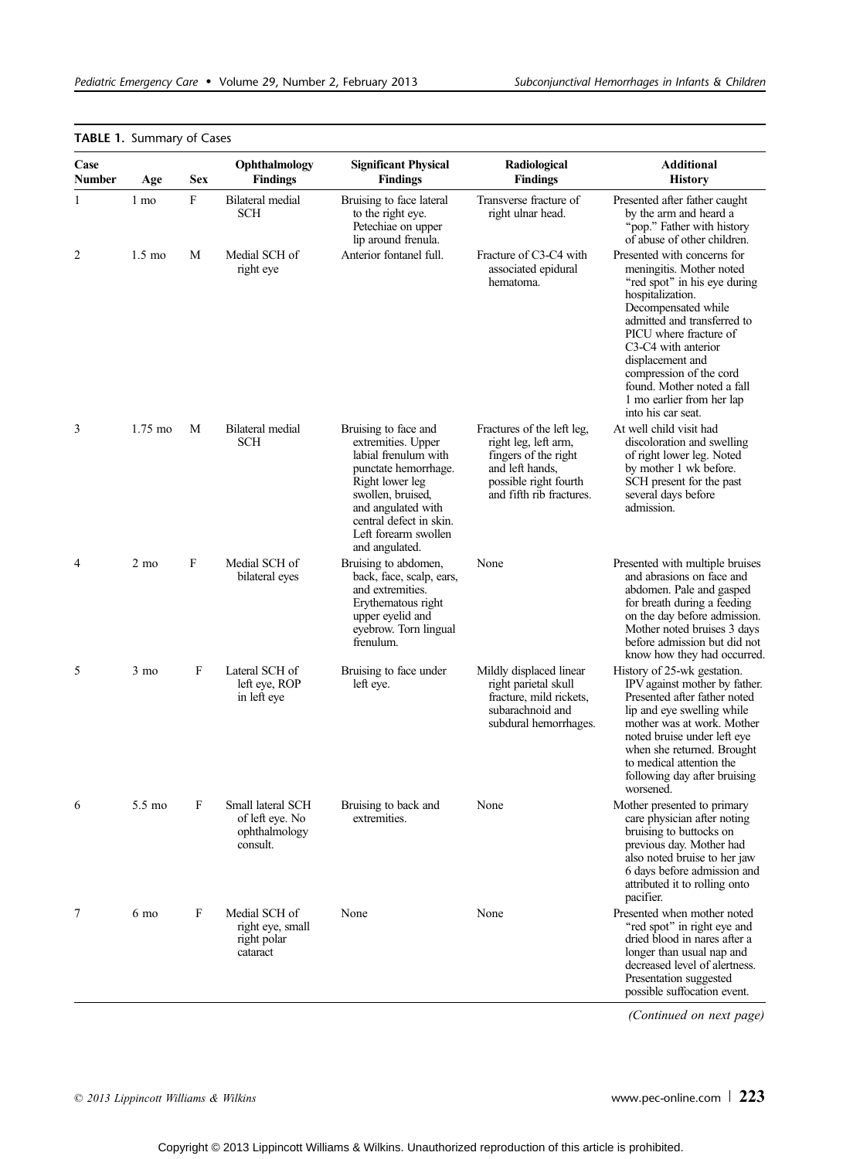| <b>TABLE 1. Summary of Cases</b> |                   |            |                                                                   |                                                                                                                                                                                                                               |                                                                                                                                                    |                                                                                                                                                                                                                                                                                                                                                    |  |
|----------------------------------|-------------------|------------|-------------------------------------------------------------------|-------------------------------------------------------------------------------------------------------------------------------------------------------------------------------------------------------------------------------|----------------------------------------------------------------------------------------------------------------------------------------------------|----------------------------------------------------------------------------------------------------------------------------------------------------------------------------------------------------------------------------------------------------------------------------------------------------------------------------------------------------|--|
| Case<br><b>Number</b>            | Age               | <b>Sex</b> | Ophthalmology<br><b>Findings</b>                                  | <b>Significant Physical</b><br><b>Findings</b>                                                                                                                                                                                | Radiological<br><b>Findings</b>                                                                                                                    | <b>Additional</b><br><b>History</b>                                                                                                                                                                                                                                                                                                                |  |
| 1                                | 1 mo              | F          | <b>Bilateral</b> medial<br>SCH                                    | Bruising to face lateral<br>to the right eye.<br>Petechiae on upper<br>lip around frenula.                                                                                                                                    | Transverse fracture of<br>right ulnar head.                                                                                                        | Presented after father caught<br>by the arm and heard a<br>"pop." Father with history<br>of abuse of other children.                                                                                                                                                                                                                               |  |
| $\overline{2}$                   | $1.5 \text{ mo}$  | М          | Medial SCH of<br>right eye                                        | Anterior fontanel full.                                                                                                                                                                                                       | Fracture of C3-C4 with<br>associated epidural<br>hematoma.                                                                                         | Presented with concerns for<br>meningitis. Mother noted<br>"red spot" in his eye during<br>hospitalization.<br>Decompensated while<br>admitted and transferred to<br>PICU where fracture of<br>C3-C4 with anterior<br>displacement and<br>compression of the cord<br>found. Mother noted a fall<br>1 mo earlier from her lap<br>into his car seat. |  |
| 3                                | $1.75 \text{ mo}$ | М          | Bilateral medial<br>SCH                                           | Bruising to face and<br>extremities. Upper<br>labial frenulum with<br>punctate hemorrhage.<br>Right lower leg<br>swollen, bruised,<br>and angulated with<br>central defect in skin.<br>Left forearm swollen<br>and angulated. | Fractures of the left leg,<br>right leg, left arm,<br>fingers of the right<br>and left hands,<br>possible right fourth<br>and fifth rib fractures. | At well child visit had<br>discoloration and swelling<br>of right lower leg. Noted<br>by mother 1 wk before.<br>SCH present for the past<br>several days before<br>admission.                                                                                                                                                                      |  |
| 4                                | 2 mo              | F          | Medial SCH of<br>bilateral eyes                                   | Bruising to abdomen,<br>back, face, scalp, ears,<br>and extremities.<br>Erythematous right<br>upper eyelid and<br>eyebrow. Torn lingual<br>frenulum.                                                                          | None                                                                                                                                               | Presented with multiple bruises<br>and abrasions on face and<br>abdomen. Pale and gasped<br>for breath during a feeding<br>on the day before admission.<br>Mother noted bruises 3 days<br>before admission but did not<br>know how they had occurred.                                                                                              |  |
| 5                                | 3 mo              | F          | Lateral SCH of<br>left eye, ROP<br>in left eye                    | Bruising to face under<br>left eye.                                                                                                                                                                                           | Mildly displaced linear<br>right parietal skull<br>fracture, mild rickets,<br>subarachnoid and<br>subdural hemorrhages.                            | History of 25-wk gestation.<br>IPV against mother by father.<br>Presented after father noted<br>lip and eye swelling while<br>mother was at work. Mother<br>noted bruise under left eye<br>when she returned. Brought<br>to medical attention the<br>following day after bruising<br>worsened.                                                     |  |
| 6                                | 5.5 mo            | F          | Small lateral SCH<br>of left eye. No<br>ophthalmology<br>consult. | Bruising to back and<br>extremities.                                                                                                                                                                                          | None                                                                                                                                               | Mother presented to primary<br>care physician after noting<br>bruising to buttocks on<br>previous day. Mother had<br>also noted bruise to her jaw<br>6 days before admission and<br>attributed it to rolling onto<br>pacifier.                                                                                                                     |  |
| 7                                | 6 mo              | F          | Medial SCH of<br>right eye, small<br>right polar<br>cataract      | None                                                                                                                                                                                                                          | None                                                                                                                                               | Presented when mother noted<br>"red spot" in right eye and<br>dried blood in nares after a<br>longer than usual nap and<br>decreased level of alertness.<br>Presentation suggested<br>possible suffocation event.                                                                                                                                  |  |

(Continued on next page)

# $\degree$  2013 Lippincott Williams & Wilkins www.pec-online.com | 223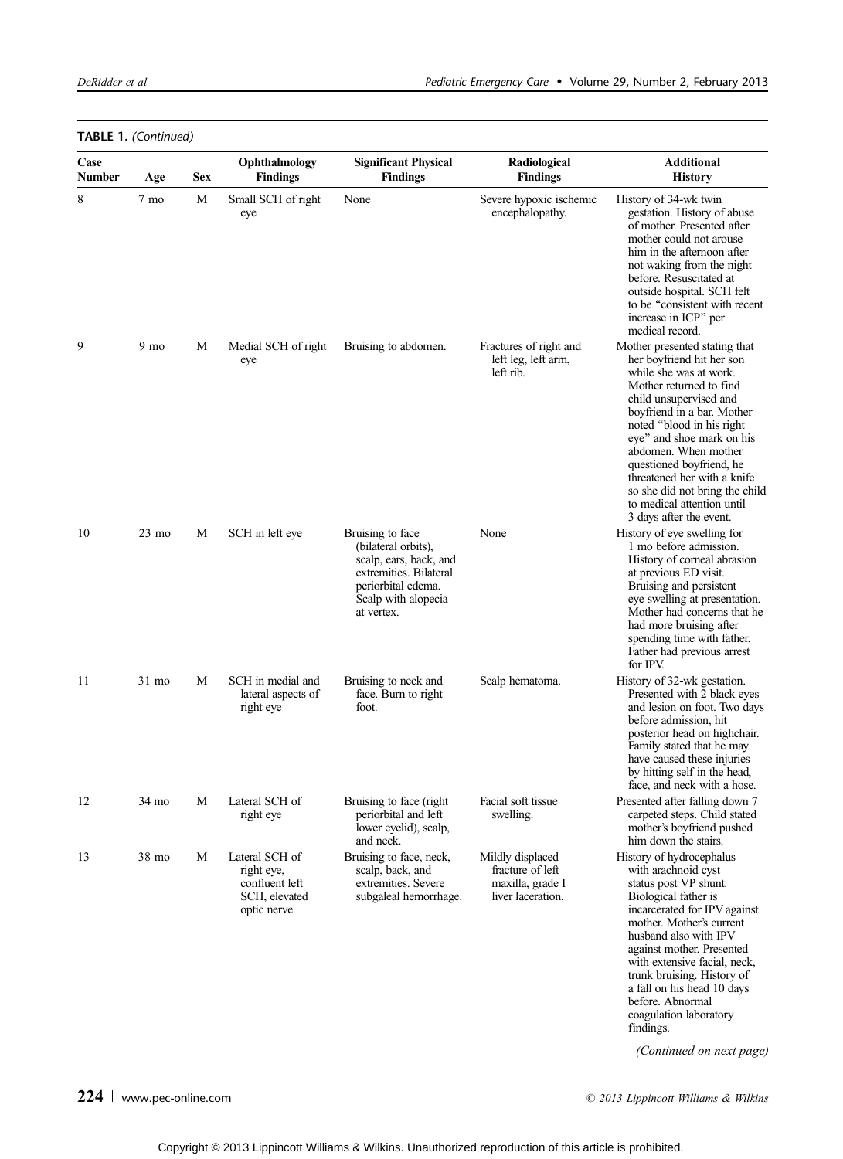| Case<br><b>Number</b> | Age               | <b>Sex</b> | Ophthalmology<br><b>Findings</b>                                               | <b>Significant Physical</b><br><b>Findings</b>                                                                                                         | Radiological<br><b>Findings</b>                                               | <b>Additional</b><br><b>History</b>                                                                                                                                                                                                                                                                                                                                                                             |
|-----------------------|-------------------|------------|--------------------------------------------------------------------------------|--------------------------------------------------------------------------------------------------------------------------------------------------------|-------------------------------------------------------------------------------|-----------------------------------------------------------------------------------------------------------------------------------------------------------------------------------------------------------------------------------------------------------------------------------------------------------------------------------------------------------------------------------------------------------------|
| 8                     | 7 mo              | М          | Small SCH of right<br>eye                                                      | None                                                                                                                                                   | Severe hypoxic ischemic<br>encephalopathy.                                    | History of 34-wk twin<br>gestation. History of abuse<br>of mother. Presented after<br>mother could not arouse<br>him in the afternoon after<br>not waking from the night<br>before. Resuscitated at<br>outside hospital. SCH felt<br>to be "consistent with recent"<br>increase in ICP" per<br>medical record.                                                                                                  |
| 9                     | 9 <sub>mo</sub>   | М          | Medial SCH of right<br>eye                                                     | Bruising to abdomen.                                                                                                                                   | Fractures of right and<br>left leg, left arm,<br>left rib.                    | Mother presented stating that<br>her boyfriend hit her son<br>while she was at work.<br>Mother returned to find<br>child unsupervised and<br>boyfriend in a bar. Mother<br>noted "blood in his right<br>eye" and shoe mark on his<br>abdomen. When mother<br>questioned boyfriend, he<br>threatened her with a knife<br>so she did not bring the child<br>to medical attention until<br>3 days after the event. |
| 10                    | $23 \text{ mo}$   | M          | SCH in left eye                                                                | Bruising to face<br>(bilateral orbits),<br>scalp, ears, back, and<br>extremities. Bilateral<br>periorbital edema.<br>Scalp with alopecia<br>at vertex. | None                                                                          | History of eye swelling for<br>1 mo before admission.<br>History of corneal abrasion<br>at previous ED visit.<br>Bruising and persistent<br>eye swelling at presentation.<br>Mother had concerns that he<br>had more bruising after<br>spending time with father.<br>Father had previous arrest<br>for IPV.                                                                                                     |
| 11                    | 31 mo             | М          | SCH in medial and<br>lateral aspects of<br>right eye                           | Bruising to neck and<br>face. Burn to right<br>foot.                                                                                                   | Scalp hematoma.                                                               | History of 32-wk gestation.<br>Presented with 2 black eyes<br>and lesion on foot. Two days<br>before admission, hit<br>posterior head on highchair.<br>Family stated that he may<br>have caused these injuries<br>by hitting self in the head,<br>face, and neck with a hose.                                                                                                                                   |
| 12                    | $34\ \mathrm{mo}$ |            | M Lateral SCH of<br>right eye                                                  | Bruising to face (right<br>periorbital and left<br>lower eyelid), scalp,<br>and neck.                                                                  | Facial soft tissue<br>swelling.                                               | Presented after falling down 7<br>carpeted steps. Child stated<br>mother's boyfriend pushed<br>him down the stairs.                                                                                                                                                                                                                                                                                             |
| 13                    | 38 mo             | М          | Lateral SCH of<br>right eye,<br>confluent left<br>SCH, elevated<br>optic nerve | Bruising to face, neck,<br>scalp, back, and<br>extremities. Severe<br>subgaleal hemorrhage.                                                            | Mildly displaced<br>fracture of left<br>maxilla, grade I<br>liver laceration. | History of hydrocephalus<br>with arachnoid cyst<br>status post VP shunt.<br>Biological father is<br>incarcerated for IPV against<br>mother. Mother's current<br>husband also with IPV<br>against mother. Presented<br>with extensive facial, neck,<br>trunk bruising. History of<br>a fall on his head 10 days<br>before. Abnormal<br>coagulation laboratory<br>findings.                                       |

# TABLE 1. (Continued)

(Continued on next page)

# 224 www.pec-online.com  $\degree$  2013 Lippincott Williams & Wilkins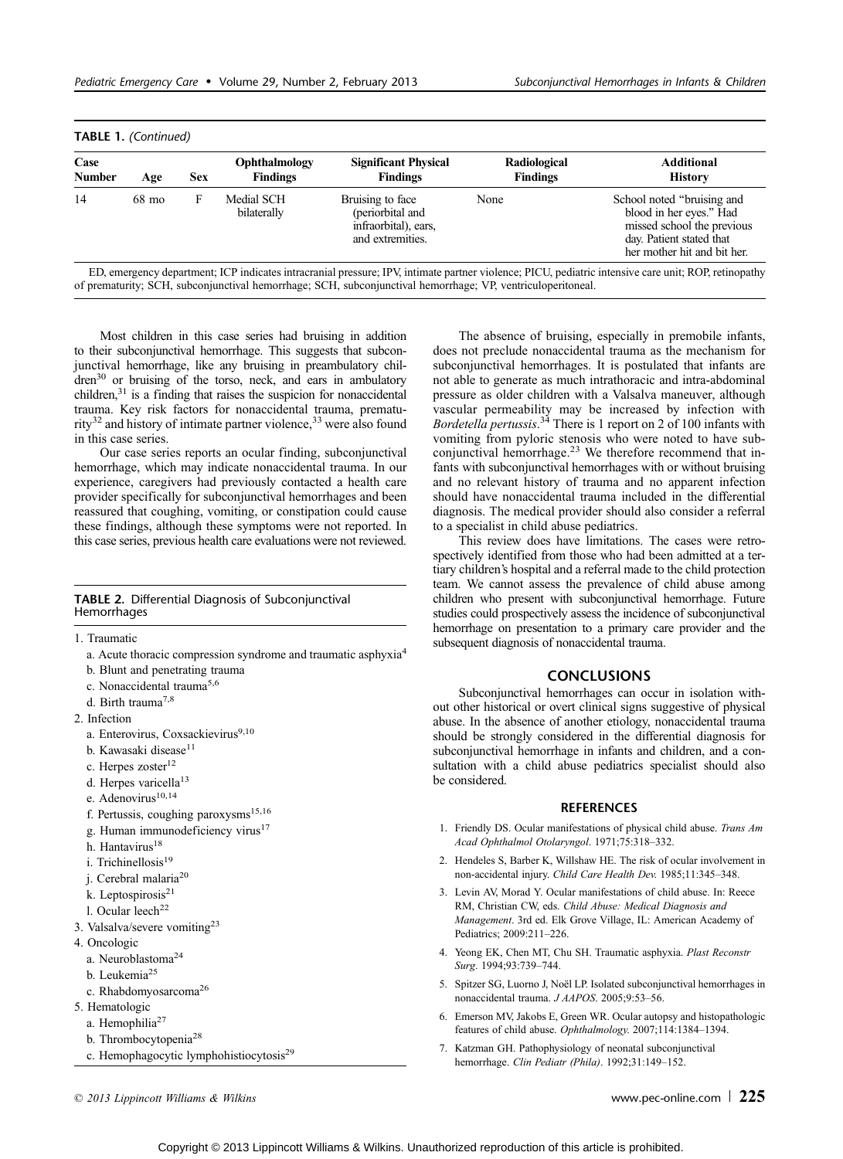| Case<br><b>Number</b> | Age   | <b>Sex</b> | Ophthalmology<br><b>Findings</b> | <b>Significant Physical</b><br><b>Findings</b>                                   | Radiological<br><b>Findings</b> | Additional<br><b>History</b>                                                                                                                    |
|-----------------------|-------|------------|----------------------------------|----------------------------------------------------------------------------------|---------------------------------|-------------------------------------------------------------------------------------------------------------------------------------------------|
| 14                    | 68 mo | F          | Medial SCH<br>bilaterally        | Bruising to face<br>(periorbital and<br>infraorbital), ears.<br>and extremities. | None                            | School noted "bruising and"<br>blood in her eyes." Had<br>missed school the previous<br>day. Patient stated that<br>her mother hit and bit her. |

ED, emergency department; ICP indicates intracranial pressure; IPV, intimate partner violence; PICU, pediatric intensive care unit; ROP, retinopathy of prematurity; SCH, subconjunctival hemorrhage; SCH, subconjunctival hemorrhage; VP, ventriculoperitoneal.

Most children in this case series had bruising in addition to their subconjunctival hemorrhage. This suggests that subconjunctival hemorrhage, like any bruising in preambulatory children<sup>30</sup> or bruising of the torso, neck, and ears in ambulatory children,<sup>31</sup> is a finding that raises the suspicion for nonaccidental trauma. Key risk factors for nonaccidental trauma, prematurity<sup>32</sup> and history of intimate partner violence,<sup>33</sup> were also found in this case series.

Our case series reports an ocular finding, subconjunctival hemorrhage, which may indicate nonaccidental trauma. In our experience, caregivers had previously contacted a health care provider specifically for subconjunctival hemorrhages and been reassured that coughing, vomiting, or constipation could cause these findings, although these symptoms were not reported. In this case series, previous health care evaluations were not reviewed.

### TABLE 2. Differential Diagnosis of Subconjunctival Hemorrhages

1. Traumatic

- a. Acute thoracic compression syndrome and traumatic asphyxia<sup>4</sup>
- b. Blunt and penetrating trauma
- c. Nonaccidental trauma5,6
- d. Birth trauma<sup>7,8</sup>
- 2. Infection
	- a. Enterovirus, Coxsackievirus9,10
	- b. Kawasaki disease<sup>11</sup>
	- c. Herpes zoster<sup>12</sup>
	- d. Herpes varicella<sup>13</sup>
	- e. Adenovirus<sup>10,14</sup>
	- f. Pertussis, coughing paroxysms $15,16$
	- g. Human immunodeficiency virus<sup>17</sup>
	- h. Hantavirus<sup>18</sup>
	- i. Trichinellosis $19$
	- j. Cerebral malaria<sup>20</sup>
	- k. Leptospirosis<sup>21</sup>
	- l. Ocular leech<sup>22</sup>
- 3. Valsalva/severe vomiting23
- 4. Oncologic
- a. Neuroblastoma<sup>24</sup>
- b. Leukemia<sup>25</sup>
- c. Rhabdomyosarcoma<sup>26</sup>
- 5. Hematologic
	- a. Hemophilia<sup>27</sup>
	- b. Thrombocytopenia<sup>28</sup>
	- c. Hemophagocytic lymphohistiocytosis<sup>29</sup>

The absence of bruising, especially in premobile infants, does not preclude nonaccidental trauma as the mechanism for subconjunctival hemorrhages. It is postulated that infants are not able to generate as much intrathoracic and intra-abdominal pressure as older children with a Valsalva maneuver, although vascular permeability may be increased by infection with Bordetella pertussis.<sup>34</sup> There is 1 report on 2 of 100 infants with vomiting from pyloric stenosis who were noted to have subconjunctival hemorrhage.<sup>23</sup> We therefore recommend that infants with subconjunctival hemorrhages with or without bruising and no relevant history of trauma and no apparent infection should have nonaccidental trauma included in the differential diagnosis. The medical provider should also consider a referral to a specialist in child abuse pediatrics.

This review does have limitations. The cases were retrospectively identified from those who had been admitted at a tertiary children's hospital and a referral made to the child protection team. We cannot assess the prevalence of child abuse among children who present with subconjunctival hemorrhage. Future studies could prospectively assess the incidence of subconjunctival hemorrhage on presentation to a primary care provider and the subsequent diagnosis of nonaccidental trauma.

# **CONCLUSIONS**

Subconjunctival hemorrhages can occur in isolation without other historical or overt clinical signs suggestive of physical abuse. In the absence of another etiology, nonaccidental trauma should be strongly considered in the differential diagnosis for subconjunctival hemorrhage in infants and children, and a consultation with a child abuse pediatrics specialist should also be considered.

## **REFERENCES**

- 1. Friendly DS. Ocular manifestations of physical child abuse. Trans Am Acad Ophthalmol Otolaryngol. 1971;75:318-332.
- 2. Hendeles S, Barber K, Willshaw HE. The risk of ocular involvement in non-accidental injury. Child Care Health Dev. 1985;11:345-348.
- 3. Levin AV, Morad Y. Ocular manifestations of child abuse. In: Reece RM, Christian CW, eds. Child Abuse: Medical Diagnosis and Management. 3rd ed. Elk Grove Village, IL: American Academy of Pediatrics; 2009:211-226.
- 4. Yeong EK, Chen MT, Chu SH. Traumatic asphyxia. Plast Reconstr Surg. 1994;93:739-744.
- 5. Spitzer SG, Luorno J, Noël LP. Isolated subconjunctival hemorrhages in nonaccidental trauma. J AAPOS. 2005;9:53-56.
- 6. Emerson MV, Jakobs E, Green WR. Ocular autopsy and histopathologic features of child abuse. Ophthalmology. 2007;114:1384-1394.
- 7. Katzman GH. Pathophysiology of neonatal subconjunctival hemorrhage. Clin Pediatr (Phila). 1992;31:149-152.

 $\degree$  2013 Lippincott Williams & Wilkins www.pec-online.com | 225